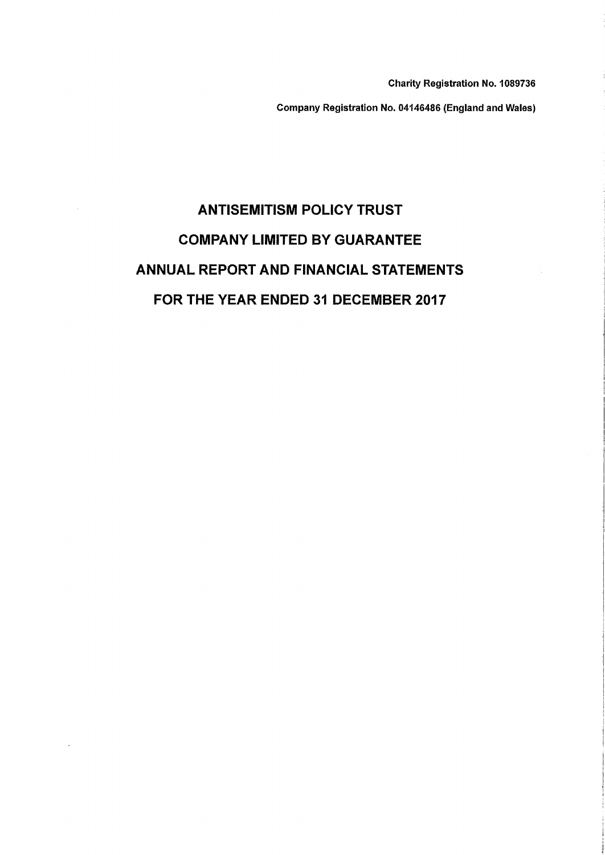Charity Registration No. 1089736

Company Registration No. 04146486 {England and Wales)

# **ANTISEMITISM POLICY TRUST COMPANY LIMITED BY GUARANTEE** ANNUAL REPORT AND FINANCIAL STATEMENTS FOR THE YEAR ENDED 31 DECEMBER 2017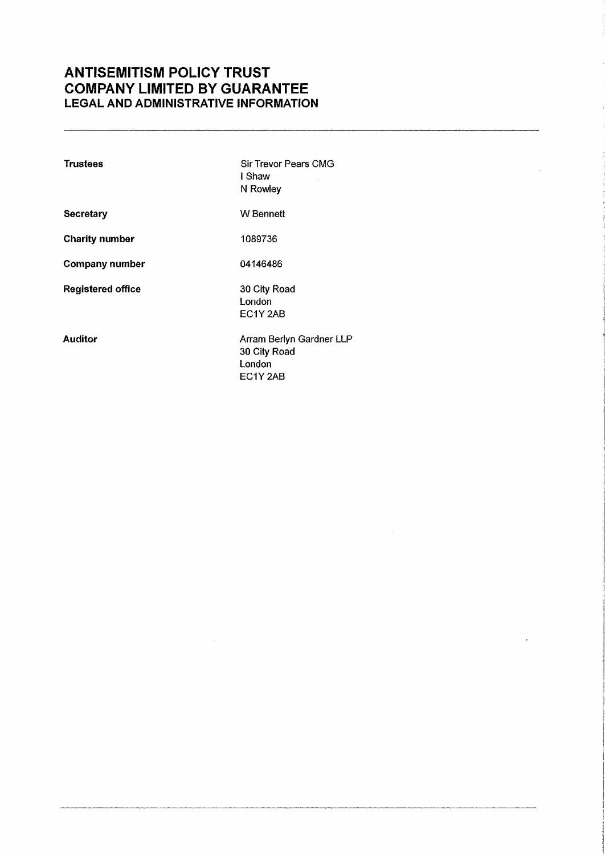# ANTISEMITISM POLICY TRUST COMPANY LIMITED BY GUARANTEE LEGAL AND ADMINISTRATIVE INFORMATION

| <b>Trustees</b>       | Sir Trevor Pears CMG<br>I Shaw<br>N Rowley                     |
|-----------------------|----------------------------------------------------------------|
| Secretary             | W Bennett                                                      |
| <b>Charity number</b> | 1089736                                                        |
| Company number        | 04146486                                                       |
| Registered office     | 30 City Road<br>London<br>EC1Y 2AB                             |
| Auditor               | Arram Berlyn Gardner LLP<br>30 City Road<br>London<br>EC1Y 2AB |

 $\sim 10^7$ 

 $\mathbb{Z}$ 

 $\sim 0.01$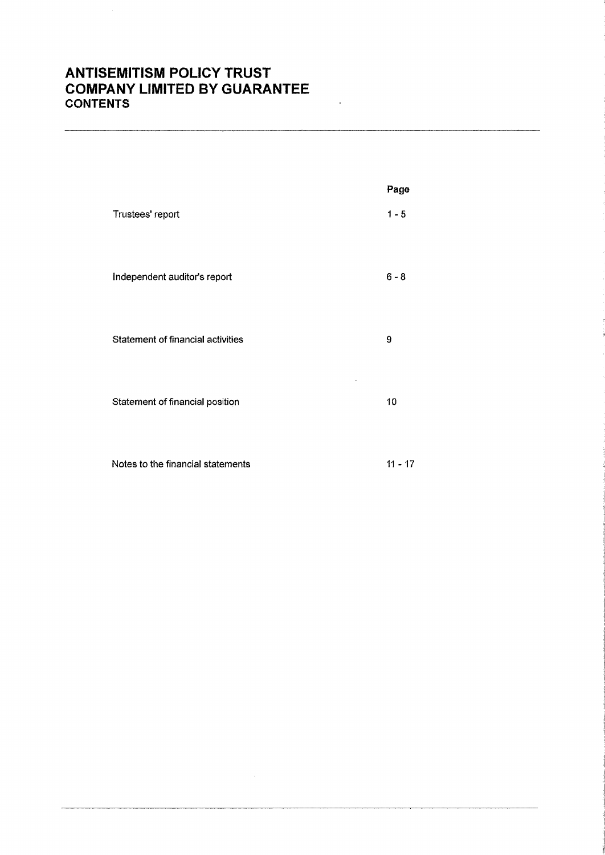# **ANTISEMITISM POLICY TRUST** COMPANY LIMITED BY GUARANTEE **CONTENTS**

|                                   | Page      |
|-----------------------------------|-----------|
| Trustees' report                  | $1 - 5$   |
| Independent auditor's report      | $6 - 8$   |
| Statement of financial activities | 9         |
| Statement of financial position   | 10        |
| Notes to the financial statements | $11 - 17$ |

 $\sim 10^7$ 

 $\sim 1$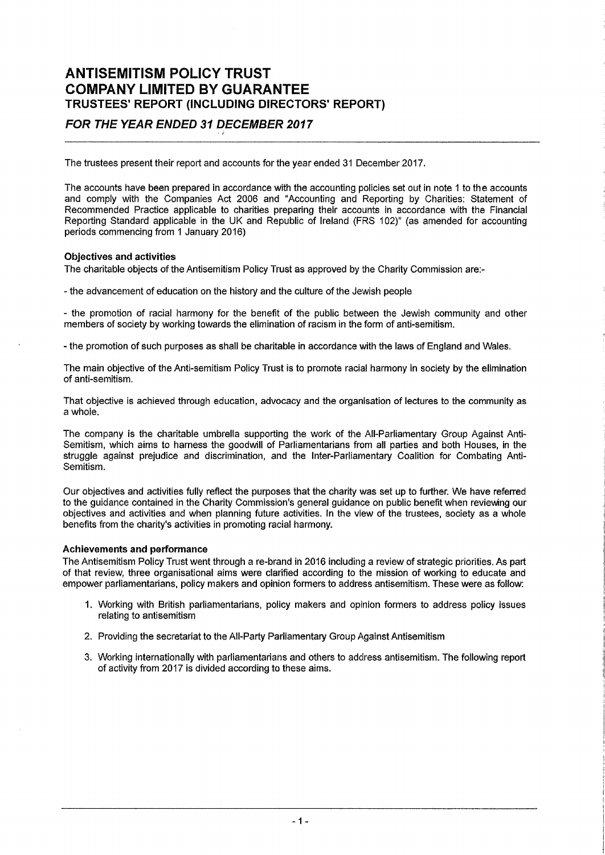# ANTISEMITISM POLICY TRUST COMPANY LIMITED BY GUARANTEE TRUSTEES' REPORT (INCLUDING DIRECTORS' REPORT)

# FOR THE YEAR ENDED 31 DECEMBER 2017

The trustees present their report and accounts for the year ended 31 December 2017.

The accounts have been prepared in accordance with the accounting policies set out in note <sup>1</sup> to the accounts and comply with the Companies Act 2006 and "Accounting and Reporting by Charities: Statement of Recommended Practice applicable to charities preparing their accounts in accordance with the Financial Reporting Standard applicable in the UK and Republic of Ireland (FRS 102)" (as amended for accounting periods commencing from <sup>1</sup> January 2016)

#### Objectives and activities

The charitable objects of the Antisemitism Policy Trust as approved by the Charity Commission are:-

- the advancement of education on the history and the culture of the Jewish people

- the promotion of racial harmony for the benefit of the public between the Jewish community and other members of society by working towards the elimination of racism in the form of anti-semitism.

- the promotion of such purposes as shall be charitable in accordance with the laws of England and Wales.

The main objective of the Anti-semitism Policy Trust is to promote racial harmony in society by the elimination of anti-semitism.

That objective is achieved through education, advocacy and the organisation of lectures to the community as a whole.

The company is the charitable umbrella supporting the work of the All-Parliamentary Group Against Anti-Semitism, which aims to harness the goodwill of Parliamentarians from all parties and both Houses, in the struggle against prejudice and discrimination, and the Inter-Parliamentary Coalition for Combating Anti-Semitism.

Our objectives and activities fully reflect the purposes that the charity was set up to further. We have referred to the guidance contained in the Charity Commission's general guidance on public benefit when reviewing our objectives and activities and when planning future activities. In the view of the trustees, society as a whole benefits from the charity's activities in promoting racial harmony.

#### Achievements and performance

The Antisemitism Policy Trust went through a re-brand in 2016 including a review of strategic priorities. As part of that review, three organisationai aims were clarified according to the mission of working to educate and empower parliamentarians, policy makers and opinion formers to address antisemitism. These were as follow:

- 1. Working with British parliamentarians, policy makers and opinion formers to address policy issues relating to antisemitism
- 2. Providing the secretariat to the All-Party Parliamentary Group Against Antisemitism
- 3. Working internationally with parliamentarians and others to address antisemitism. The following report of activity from 2017 is divided according to these aims.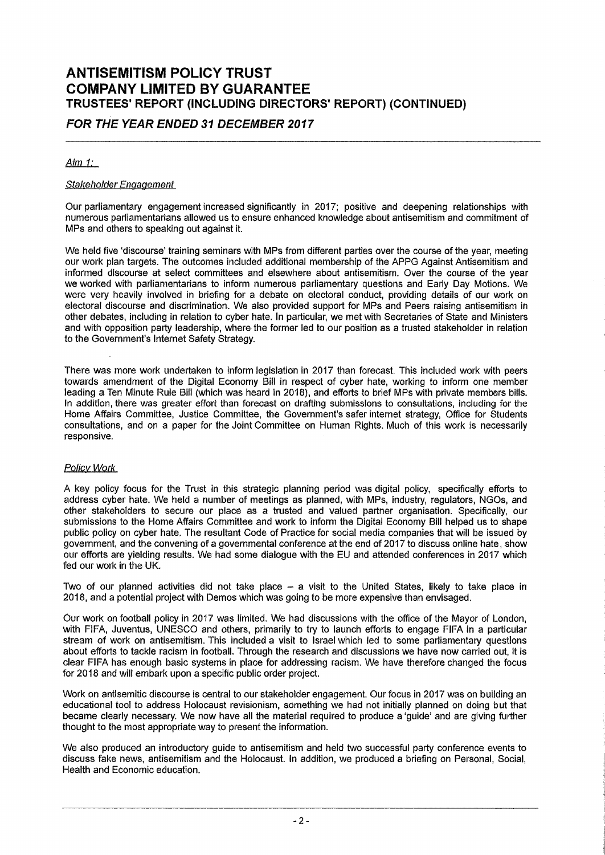# ANTISEMITISM POLICY TRUST COMPANY LIMITED BY GUARANTEE TRUSTEES' REPORT (INCLUDING DIREGTORS' REPORT) (GONTINUEO)

# FOR THE YEAR ENDED 31 DECEMBER 2017

Aim  $1$ :

#### Stakeholder Engagement

Our parliamentary engagementincreased significantly in 2017; positive and deepening relationships with numerous parliarnentarians allowed us to ensure enhanced knowledge about antisemitism and commitment of MPs and others to speaking out against it.

We held five 'discourse' training seminars with MPs from different parties over the course of the year, meeting our work plan targets. The outcomes included additional membership of the APPG Against Antisemitism and informed discourse at select committees and elsewhere about antisemitism. Over the course of the year we worked with parliamentarians to inform numerous parliamentary questions and Early Day Motions. We were very heavily involved in briefing for a debate on electoral conduct, providing details of our work on electoral discourse and discrimination. We also provided support for MPs and Peers raising antisemitism in other debates, including in relation to cyber hate. In particular, we met with Secretaries of State and Ministers and with opposition party leadership, where the former led to our position as a trusted stakeholder in relation to the Government's Internet Safety Strategy.

There was more work undertaken to inform legislation in 201? than forecast. This included work with peers towards amendment of the Digital Economy Bill in respect of cyber hate, working to inform one member leading a Ten Minute Rule Bill (which was heard in 2018), and efforts to brief MPs with private members bills. In addition, there was greater effort than forecast on drafting submissions to consultations, including for the Home Affairs Committee, Justice Committee, the Government's safer internet strategy, Office for Students consultations, and on a paper for the Joint Committee on Human Rights. Much of this work is necessarily responsive.

#### Policy Work

A key policy focus for the Trust in this strategic planning period was digital policy, specifically efforts to address cyber hate. We held a number of meetings as planned, with MPs, industry, regulators, NGOs, and other stakeholders to secure our place as a trusted and valued partner organisation. Specifically, our submissions to the Home Affairs Committee and work to inform the Digital Economy Bill helped us to shape public policy on cyber hate. The resultant Code of Practice for social media companies that will be issued by government, and the convening of a governmental conference at the end of 2017 to discuss online hate, show our efforts are yielding results. We had some dialogue with the EU and attended conferences in 2017 which fed our work in the UK.

Two of our planned activities did not take place —a visit to the United States, likely to take place in 2018, and a potential project with Demos which was going to be more expensive than envisaged.

Our work on football policy in 2017 was limited. We had discussions with the office of the Mayor of London, with FIFA, Juventus, UNESCO and others, primarily to try to launch efforts to engage FIFA in a particular stream of work on antisemitism. This included a visit to Israel which led to some parliamentary questions about efforts to tackle racism in football. Through the research and discussions we have now carried out, it is clear FIFA has enough basic systems in place for addressing racism. We have therefore changed the focus for 2018 and will embark upon a specific public order project.

Work on antisemltic discourse is central to our stakeholder engagement. Our focus in 2017 was on building an educational tool to address Holocaust revisionism, something we had not initially planned on doing but that became clearly necessary. We now have all the material required to produce a 'guide' and are giving further thought to the most appropriate way to present the Information.

We also produced an introductory guide to antisemitism and held two successful party conference events to discuss fake news, antisemitism and the Holocaust. In addition, we produced a briefing on Personal, Social, Health and Economic education.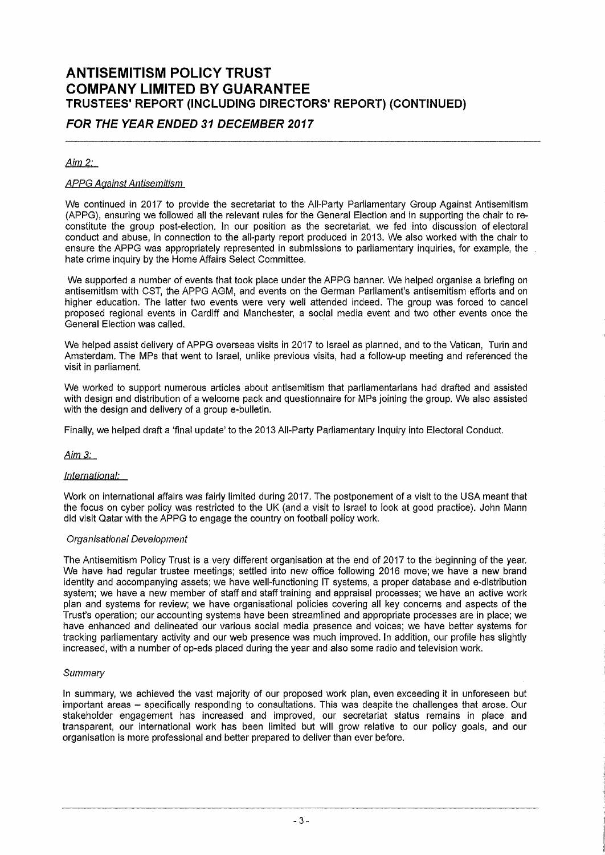# ANTISEMITISM POLICY TRUST COMPANY LIMITED BY GUARANTEE TRUSTEES' REPORT (INCLUDING DIRECTORS' REPORT) (CONTINUED)

# FOR THE YEAR ENDED 31 DECEMBER 2047

#### Aim  $2$ :

#### **APPG Against Antisemitism**

We continued in 2017 to provide the secretariat to the All-Party Parliamentary Group Against Antisemitism (APPG), ensuring we followed all the relevant rules for the General Election and in supporting the chair to reconstitute the group post-election. In our position as the secretariat, we fed into discussion of electoral conduct and abuse, in connection to the all-party report produced in 2013. We also worked with the chair to ensure the APPG was appropriately represented in submissions to parliamentary inquiries, for example, the hate crime inquiry by the Home Affairs Select Committee.

We supported a number of events that took place under the APPG banner. We helped organise a briefing on antisemitism with CST, the APPG AGM, and events on the German Parliament's antisemitism efforts and on higher education. The latter two events were very well attended indeed. The group was forced to cancel proposed regional events in Cardiff and Manchester, a social media event and two other events once the General Election was called.

We helped assist delivery of APPG overseas visits in 2017 to Israel as planned, and to the Vatican, Turin and Amsterdam, The MPs that went to Israel, unlike previous visits, had a follow-up meeting and referenced the visit in parliament.

We worked to support numerous articles about antisemitism that parliamentarians had drafted and assisted with design and distribution of a welcome pack and questionnaire for MPs joining the group. We also assisted with the design and delivery of a group e-bulletin.

Finally, we helped draft a 'final update' to the 2013 All-Party Parliamentary Inquiry into Electoral Conduct.

#### Aim  $3$ :

#### International:

Work on international affairs was fairly limited during 2017. The postponement of a visit to the USA meant that the focus on cyber policy was restricted to the UK (and a visit to Israel to look at good practice). John Mann did visit Qatar with the APPG to engage the country on football policy work.

#### Organisational Development

The Antisemitism Policy Trust is a very different organisation at the end of 2017 to the beginning of the year. We have had regular trustee meetings; settled into new office following 2016 move; we have a new brand identity and accompanying assets; we have well-functioning IT systems, a proper database and e-distribution system; we have a new member of staff and staff training and appraisal processes; we have an active work plan and systems for review; we have organisational policies covering all key concerns and aspects of the Trust's operation; our accounting systems have been streamlined and appropriate processes are in place; we have enhanced and delineated our various social media presence and voices; we have better systems for tracking parliamentary activity and our web presence was much improved. In addition, our profile has slightly increased, with a number of op-eds placed during the year and also some radio and television work.

#### **Summary**

In summary, we achieved the vast majority of our proposed work plan, even exceeding it in unforeseen but important areas – specifically responding to consultations. This was despite the challenges that arose. Our stakeholder engagement has increased and improved, our secretariat status remains in place and transparent, our international work has been limited but will grow relative to our policy goals, and our organisation is more professional and better prepared to deliver than ever before.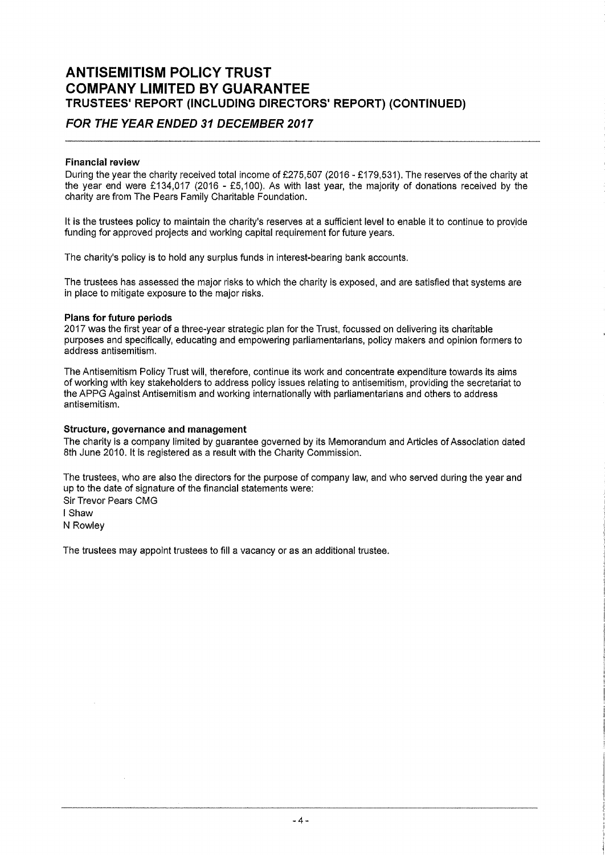# ANTISEMITISM POLICY TRUST COMPANY LIMITED BY GUARANTEE TRUSTEES' REPORT (INCLUDING DIRECTORS' REPORT) (CONTINUED)

# FOR THE YEAR ENDED 31 DECEMBER 201T

#### Financial review

During the year the charity received total income of £275,507 (2016 - £179,531). The reserves of the charity at the year end were  $£134.017$  (2016 - £5,100). As with last year, the majority of donations received by the charity are from The Pears Family Charitable Foundation.

It is the trustees policy to maintain the charity's reserves at a sufficient level to enable it to continue to provide funding for approved projects and working capital requirement for future years.

The charity's policy is to hold any surplus funds in interest-bearing bank accounts.

The trustees has assessed the major risks to which the charity is exposed, and are satisfied that systems are in place to mitigate exposure to the major risks.

#### Plans for future periods

2017 was the first year of a three-year strategic plan for the Trust, focussed on delivering its charitable purposes and specifically, educating and empowering parliamentarlans, policy makers and opinion formers to address antisemitism.

The Antisemitism Policy Trust will, therefore, continue its work and concentrate expenditure towards its aims of working with key stakeholders to address policy issues relating to antisemitism, providing the secretariat to the APPG Against Antisemitism and working internationally with parliamentarians and others to address antisemitism.

#### Structure, governance and management

The charity is a company limited by guarantee governed by its Memorandum and Articles of Association dated 8th June 2010. It is registered as a result with the Charity Commission.

The trustees, who are also the directors for the purpose of company law, and who served during the year and up to the date of signature of the financial statements were: Sir Trevor Pears CMG <sup>I</sup> Shaw N Rowley

The trustees may appoint trustees to fill a vacancy or as an additional trustee.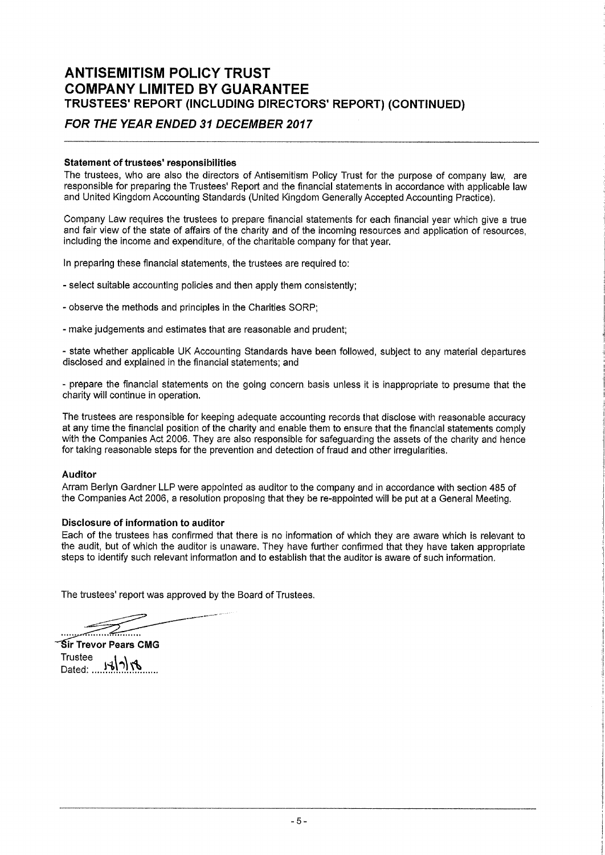# ANTISEMITISM POLICY TRUST COMPANY LIMITED BY GUARANTEE TRUSTEES' REPORT (INCLUDING DIRECTORS' REPORT) (CONTINUED)

# FOR THE YEAR ENDED 31 DECEMBER 2017

#### Statement of trustees' responsibilities

The trustees, who are also the directors of Antisemitism Policy Trust for the purpose of company law, are responsible for preparing the Trustees' Report and the financial statements in accordance with applicable law and United Kingdom Accounting Standards (United Kingdom Generally Accepted Accounting Practice).

Company Law requires the trustees to prepare financial statements for each financial year which give a true and fair view of the state of affairs of the charity and of the incoming resources and application of resources, including the income and expenditure, of the charitable company for that year.

In preparing these financial statements, the trustees are required to:

- select suitable accounting policies and then apply them consistently;
- observe the methods and principles in the Charities SORP;
- make judgements and estimates that are reasonable and prudent;

- state whether applicable UK Accounting Standards have been followed, subject to any material departures disclosed and explained in the financial statements; and

- prepare the financial statements on the going concern basis unless it is inappropriate to presume that the charity will continue in operation.

The trustees are responsible for keeping adequate accounting records that disclose with reasonable accuracy at any time the financial position of the charity and enable them to ensure that the financial statements comply with the Companies Act 2006. They are also responsible for safeguarding the assets of the charity and hence for taking reasonable steps for the prevention and detection of fraud and other irregularities.

#### Auditor

Arram Berlyn Gardner LLP were appointed as auditor to the company and in accordance with section 485 of the Companies Act 2006, a resolution proposing that they be re-appointed will be put at a General Meeting.

#### Disclosure of information to auditor

Each of the trustees has confirmed that there is no information of which they are aware which is relevant to the audit, but of which the auditor is unaware, They have further confirmed that they have taken appropriate steps to identify such relevant information and to establish that the auditor is aware of such information,

The trustees' report was approved by the Board of Trustees.

**Sir Trevor Pears CMG Trustee** <u>i4|ا4</u> Dated: ..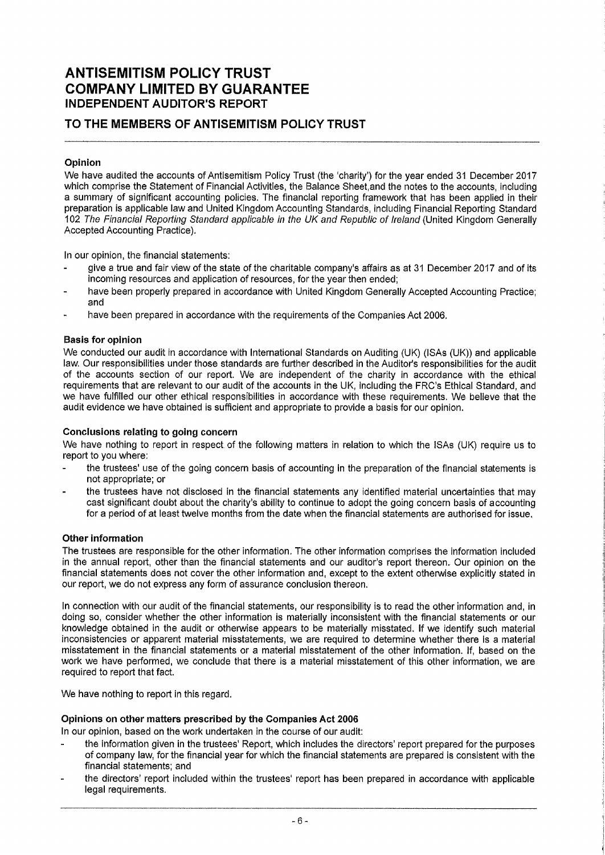# **ANTISEMITISM POLICY TRUST** COMPANY LIMITED BY GUARANTEE INDEPENDENT AUDITOR'S REPORT

# TO THE MEMBERS OF ANTISEMITISM POLICY TRUST

#### Opinion

We have audited the accounts of Antlsemitism Policy Trust (the 'charity') for the year ended 31 December 2017 which comprise the Statement of Financial Activities, the Balance Sheet, and the notes to the accounts, including a summary of significant accounting policies. The financial reporting framework that has been applied in their preparation is applicable law and United Kingdom Accounting Standards, including Financial. Reporting Standard 102 The Financial Reporting Standard applicable in the UK and Republic of Ireland (United Kingdom Generally Accepted Accounting Practice).

In our opinion, the financial statements:

- give a true and fair view of the state of the charitable company's affairs as at 31 December 2017 and of its incoming resources and application of resources, for the year then ended;
- have been properly prepared in accordance with United Kingdom Generally Accepted Accounting Practice; and
- have been prepared in accordance with the requirements of the Companies Act 2006.

#### Basis for opinion

We conducted our audit in accordance with International Standards on Auditing (UK) (ISAs (UK)) and applicable law. Our respansibiiities under those standards are further described in the Auditor's responsibilities for the audit of the accounts section of our report. We are independent of the charity in accordance with the ethical requirements that are relevant to our audit of the accounts in the UK, including the FRC's Ethical Standard, and we have fulfilled our other ethical responsibilities in accordance with these requirements. We believe that the audit evidence we have obtained is sufficient and appropriate to provide a basis for our opinion.

#### Conclusions relating to going concern

We have nothing to report in respect of the following matters in relation to which the ISAs (UK) require us to report to you where:

- the trustees' use of the going concern basis of accounting in the preparation of the financial statements is not appropriate; or
- the trustees have not disclosed in the financial statements any identified material uncertainties that may cast significant doubt about the charity's ability to continue to adopt the going concern basis of accounting for a period of at least twelve months from the date when the financial statements are authorised for issue,

#### Other information

The trustees are responsible for the other information. The other information comprises the information included in the annual report, other than the financial statements and our auditor's report thereon, Our opinion on the financial statements does not cover the other information and, except to the extent otherwise explicitly stated in our report, we do not express any form of assurance conclusion thereon.

In connection with our audit of the financial statements, our responsibility is to read the other information and, in doing so, consider whether the other information is materially inconsistent with the financial statements or our knowledge obtained in the audit or otherwise appears to be materially misstated. If we identify such material inconsistencies or apparent material misstatements, we are required to determine whether there is a material misstatement in the financial statements or a material misstatement of the other information. If, based on the work we have performed, we conclude that there is a material misstatement of this other information, we are required to report that fact.

We have nothing to report in this regard.

#### Opinions on other matters prescribed by the Companies Act 2006

In our opinion, based on the work undertaken in the course of our audit:

- the information given in the trustees' Report, which includes the directors' report prepared for the purposes of company law, for the financial year for which the financial statements are prepared is consistent with the financial statements; and
- the directors' report included within the trustees' report has been prepared in accordance with applicable legal requirements.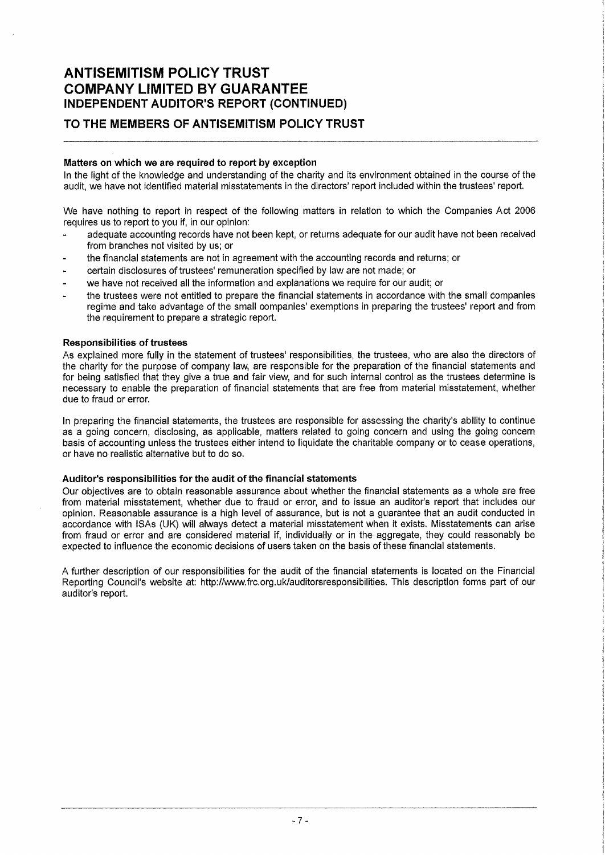# ANTISEMITISM POLICY TRUST COMPANY LIMITED BY GUARANTEE INDEPENDENT AUDITOR'S REPORT (CONTINUED)

# TO THE MEMBERS OF ANTISEMITISM POLICY TRUST

#### Matters on which we are required to report by exception

In the light of the knowledge and understanding of the charity and its environment obtained in the course of the audit, we have not identified material misstatements in the directors' report included within the trustees' report.

We have nothing to report in respect of the following matters in relation to which the Companies Act 2006 requires us to report to you if, in our opinion:

- adequate accounting records have not been kept, or returns adequate for our audit have not been received from branches not visited by us; or
- the financial statements are not in agreement with the accounting records and returns; or
- certain disclosures of trustees' remuneration specified by law are not made; or
- we have not received all the information and explanations we require for our audit; or
- the trustees were not entitled to prepare the financial statements in accordance with the small companies regime and take advantage of the small companies' exemptions in preparing the trustees' report and from the requirement to prepare a strategic report.

#### Responsibilities of trustees

As explained more fully in the statement of trustees' responsibilities, the trustees, who are also the directors of the charity for the purpose of company law, are responsible for the preparation of the financial statements and for being satisfied that they give a true and fair view, and for such internal control as the trustees determine is necessary to enable the preparation of financial statements that are free from material misstatement, whether due to fraud or error.

In preparing the financial statements, the trustees are responsible for assessing the charity's ability to continue as a going concern, disclosing, as applicable, matters related to going concern and using the going concern basis of accounting unless the trustees either intend to liquidate the charitable company or to cease operations, or have no realistic alternative but to do so.

#### Auditor's responsibilities for the audit of the financial statements

Our objectives are to obtain reasonable assurance about whether the financial statements as a whole are free from material misstatement, whether due to fraud or error, and to issue an auditor's report that includes our opinion. Reasonable assurance is a high level of assurance, but is not a guarantee that an audit conducted in accordance with ISAs (UK) will always detect a material misstatement when it exists. Misstatements can arise from fraud or error and are considered material if, individually or in the aggregate, they could reasonably be expected to influence the economic decisions of users taken on the basis of these financial statements.

A further description of our responsibilities for the audit of the financial statements is located on the Financial Reporting Council's website at: http: //www. frc.org. uk/auditorsresponsibilities. This description forms part of our auditor's report.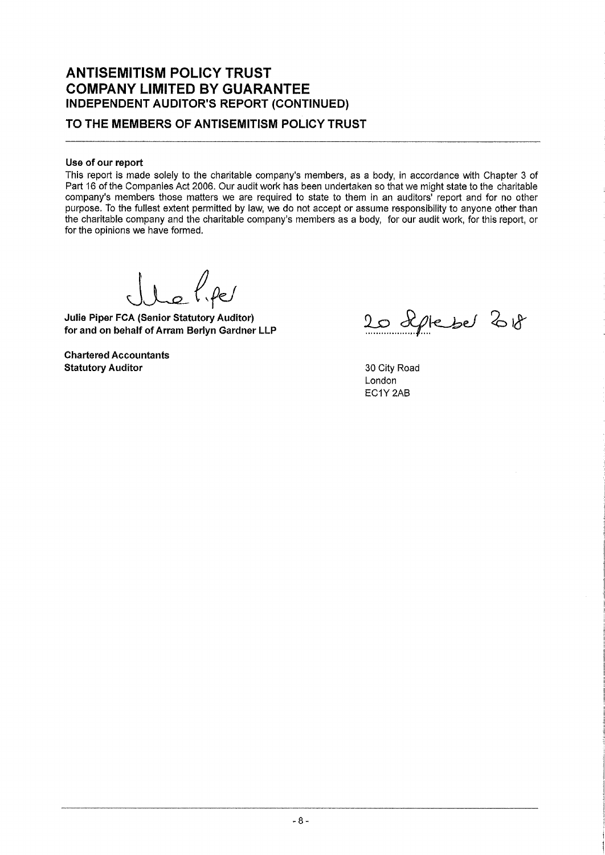# ANTISEMITISM POLICY TRUST COMPANY LIMITED BY GUARANTEE INDEPENDENT AUDITOR'S REPORT (CONTINUED)

# TO THE MEMBERS OF ANTISEMITISM POLICY TRUST

#### Use of our report

This report is made solely to the charitable company's members, as a body, in accordance with Chapter 3 of Part 16 of the Companies Act 2006. Our audit work has been undertaken so that we might state to the charitable company's members those matters we are required to state to them in an auditors' report and for no other purpose. To the fullest extent permitted by law, we do not accept or assume responsibility to anyone other than the charitable company and the charitable company's members as a body, for our audit work, for this report, or for the opinions we have formed,

le f.pe

Julia Piper FCA (Senior Statutory Auditor) for and on behalf of Arram Berlyn Gardner LLP

Chartered Accountants Statutory Auditor **30 City Road** 

20 Depleber 208

London EC1Y 2AB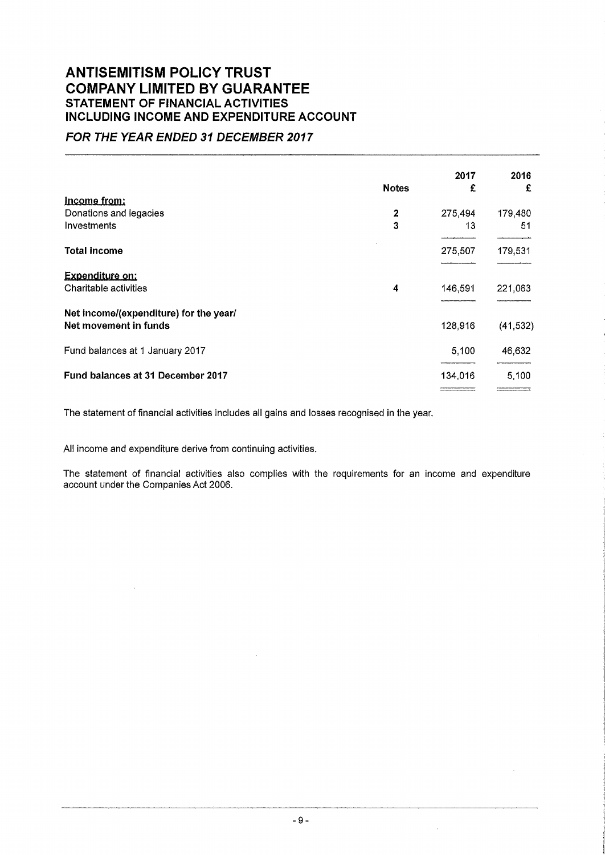# ANTISEMITISM POLICY TRUST COMPANY LIMITED BY GUARANTEE STATEMENT OF FINANCIAL ACTIVITIES INCLUDING INCOME AND EXPENDITURE ACCOUNT

# FOR THE YEAR ENDED 31 DECEMBER 2017

|                                        | <b>Notes</b> | 2017<br>£ | 2016<br>£ |
|----------------------------------------|--------------|-----------|-----------|
| Income from:                           |              |           |           |
| Donations and legacies                 | 2            | 275,494   | 179,480   |
| Investments                            | 3            | 13        | 51        |
| <b>Total income</b>                    |              | 275,507   | 179,531   |
| Expenditure on:                        |              |           |           |
| Charitable activities                  | 4            | 146,591   | 221,063   |
| Net income/(expenditure) for the year/ |              |           |           |
| Net movement in funds                  |              | 128,916   | (41, 532) |
| Fund balances at 1 January 2017        |              | 5,100     | 46,632    |
| Fund balances at 31 December 2017      |              | 134,016   | 5,100     |
|                                        |              |           |           |

The statement of financial activities includes all gains and losses recognised in the year.

 $\bar{\Delta}$ 

All income and expenditure derive from continuing activities.

The statement of financial activities also complies with the requirements for an income and expenditure account under the Companies Act 2006.

 $\ddot{\phantom{0}}$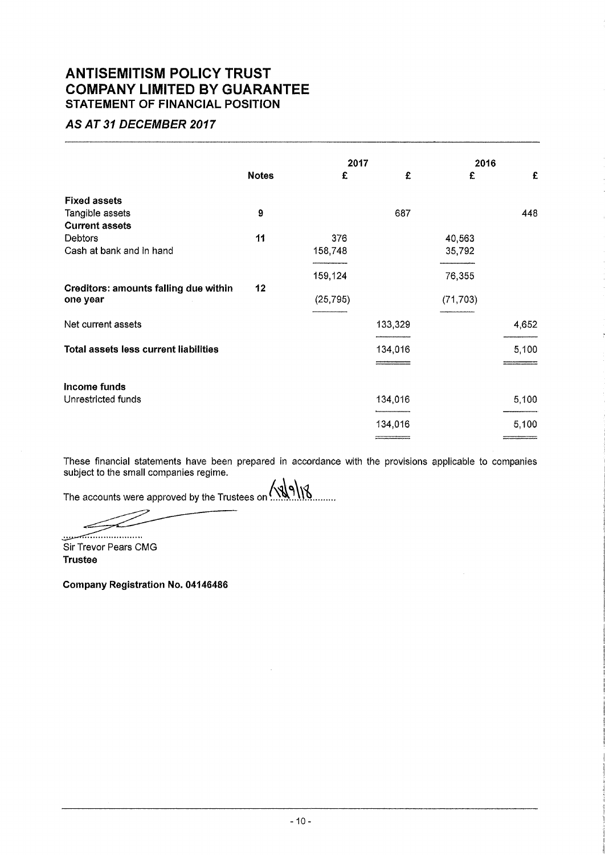# ANTISEMITISM POLICY TRUST COMPANY LIMITED BY GUARANTEE STATEMENT OF FINANCIAL POSITION

# AS AT 31 DECEMBER 2017

|                                                   |              | 2017      |         | 2016      |       |
|---------------------------------------------------|--------------|-----------|---------|-----------|-------|
|                                                   | <b>Notes</b> | £         | £       | £         | £     |
| <b>Fixed assets</b>                               |              |           |         |           |       |
| Tangible assets                                   | 9            |           | 687     |           | 448   |
| <b>Current assets</b>                             |              |           |         |           |       |
| Debtors                                           | 11           | 376       |         | 40,563    |       |
| Cash at bank and in hand                          |              | 158,748   |         | 35,792    |       |
|                                                   |              | 159,124   |         | 76,355    |       |
| Creditors: amounts falling due within<br>one year | 12           | (25, 795) |         | (71, 703) |       |
| Net current assets                                |              |           | 133,329 |           | 4,652 |
| <b>Total assets less current liabilities</b>      |              |           | 134,016 |           | 5,100 |
|                                                   |              |           |         |           |       |
| Income funds                                      |              |           |         |           |       |
| Unrestricted funds                                |              |           | 134,016 |           | 5,100 |
|                                                   |              |           | 134,016 |           | 5,100 |
|                                                   |              |           |         |           |       |

These financial statements have been prepared in accordance with the provisions applicable to companies subject to the small companies regime.

The accounts were approved by the Trustees on  $\sqrt{49}$ .........

سد 

Sir Trevor Pears CMG Trustee

Company Registration No. 04146486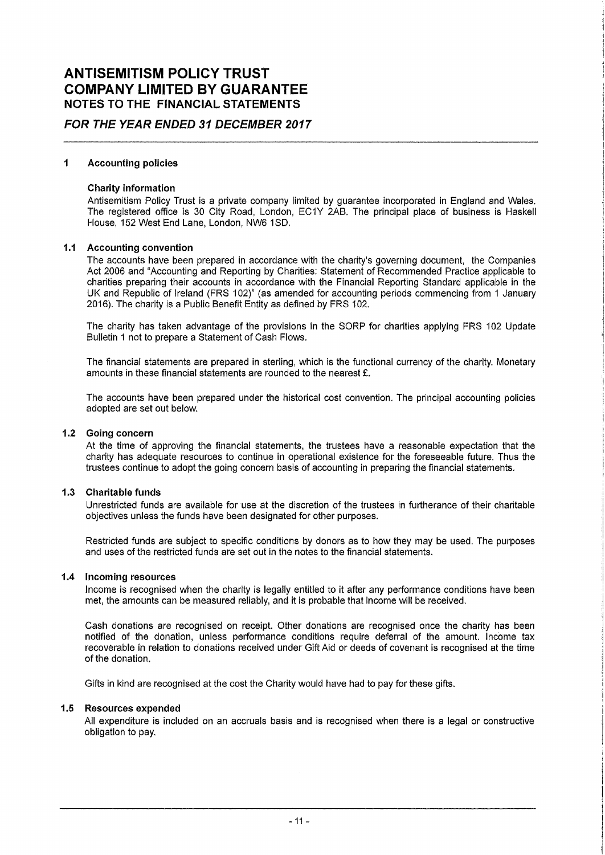### FOR THE YEAR ENDED 31 DECEMBER 2017

#### $\blacktriangleleft$ Accounting policies

#### Charity information

Antisemitism Policy Trust is a private company limited by guarantee incorporated in England and Wales. The registered office is 30 City Road, London, EC1Y 2AB. The principal place of business is Haskell House, 162 West End Lane, London, NW6 1SD.

#### 1.1 Accounting convention

The accounts have been prepared in accordance with the charity's governing document, the Companies Act 2006 and "Accounting and Reporting by Charities; Statement of Recommended Practice applicable to charities preparing their accounts in accordance with the Financial Reporting Standard applicable in the UK and Republic of Ireland (FRS 102)" (as amended for accounting periods commencing from <sup>1</sup> January 2016). The charity is a Public Benefit Entity as defined by FRS 102.

The charity has taken advantage of the provisions in the SORP for charities applying FRS 102 Update Bulletin <sup>1</sup> not to prepare a Statement of Cash Flows.

The financial statements are prepared in sterling, which is the functional currency of the charity. Monetary amounts in these financial statements are rounded to the nearest R.

The accounts have been prepared under the historical cost convention. The principal accounting policies adopted are set out below.

#### 1.2 Going concern

At the time of approving the financial statements, the trustees have a reasonable expectation that the charity has adequate resources to continue in operational existence for the foreseeable future. Thus the trustees continue to adopt the going concern basis of accounting in preparing the financial statements.

#### Charitable funds

Unrestricted funds are available for use at the discretion of the trustees in furtherance of their charitable objectives unless the funds have been designated for other purposes.

Restricted funds are subject to specific conditions by donors as to how they may be used. The purposes and uses of the restricted funds are set out in the notes to the financial statements.

#### 1.4 Incoming resources

Income is recognised when the charity is legally entitled to it after any performance conditions have been met, the amounts can be measured reliably, and it Is probable that income will be received.

Cash donations are recognised on receipt. Other donations are recognised once the charity has been notified of the donation, unless performance conditions require deferral of the amount. Income tax recoverable in relation to donations received under Gift Aid or deeds of covenant is recognised at the time of the donation.

Gifts in kind are recognised at the cost the Charity would have had to pay for these gifts.

#### 1.5 Resources expended

All expenditure is included on an accruals basis and is recognised when there is a legal or constructive obligation to pay.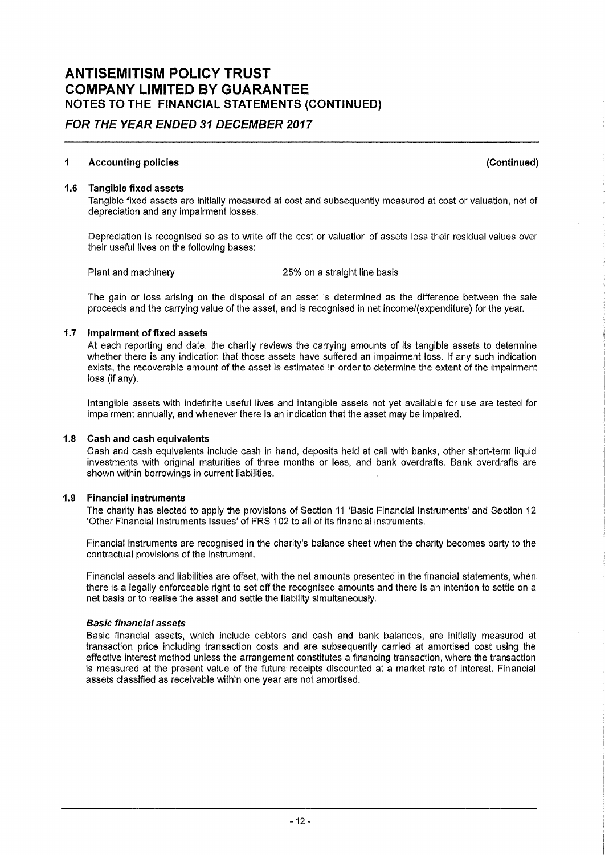# FOR THE YEAR ENDED 31 DECEMBER 2017

#### 1 Accounting policies (Continued)

#### 1.6 Tangible fixed assets

Tangible fixed assets are initially measured at cost and subsequently measured at cost or valuation, net of depreciation and any impairment losses,

Depreciation is recognised so as to write off the cost or valuation of assets less their residual values over their useful lives on the following bases:

Plant and machinery 26% on a straight line basis

The gain or loss arising on the disposal of an asset is determined as the difference between the sale proceeds and the carrying value of the asset, and is recognised in net income/(expenditure) for the year.

#### 1.7 Impairment of fixed assets

At each reporting end date, the charity reviews the carrying amounts of its tangible assets to determine whether there is any indication that those assets have suffered an impairment loss. If any such indication exists, the recoverable amount of the asset is estimated in order to determine the extent of the impairment loss (if any),

Intangible assets with indefinite useful lives and intangible assets not yet available for use are tested for impairment annually, and whenever there Is an indication that the asset may be impaired.

#### 1,8 Cash and cash equivalents

Cash and cash equivalents include cash in hand, deposits held at call with banks, other short-term liquid investments with original maturities of three months or less, and bank overdrafts. Bank overdrafts are shown within borrowings in current liabilities.

#### 1.9 Financial instruments

The charity has elected to apply the provisions of Section 11 'Basic Financial Instruments' and Section 12 'Other Financial Instruments Issues' of FFtS 102 to all of its financial instruments.

Financial instruments are recognised in the charity's balance sheet when the charity becomes party to the contractual provisions of the instrument.

Financial assets and liabilities are offset, with the net amounts presented in the financial statements, when there is a legally enforceable right to set off the recognised amounts and there is an intention to settle on a net basis or to realise the asset and settle the liability simultaneously,

#### Basic financial assets

Basic financial assets, which include debtors and cash and bank balances, are initially measured at transaction price including transaction costs and are subsequently carried at amortised cost using the effective interest method unless the arrangement constitutes a financing transaction, where the transaction is measured at the present value of the future receipts discounted at a market rate of interest. Financial assets classified as receivable within one year are not amortised.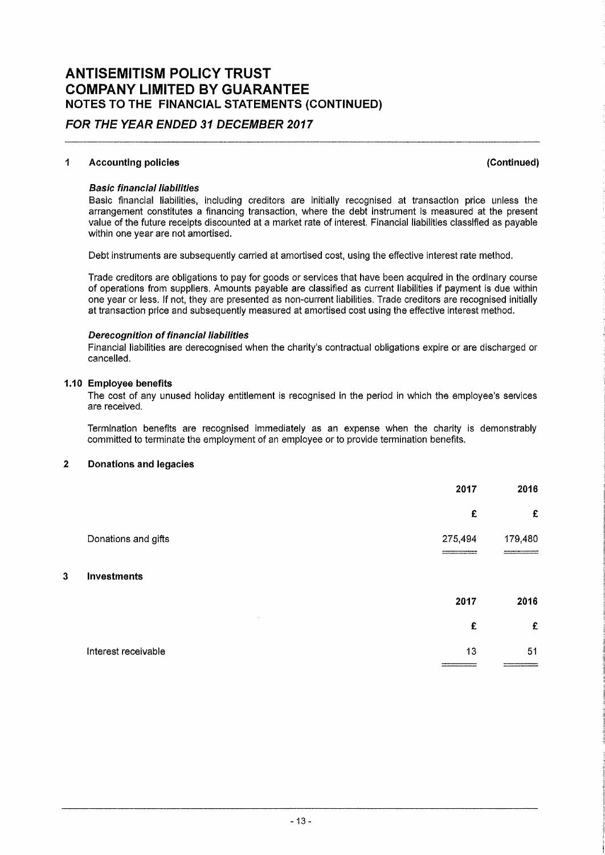# FOR THE YEAR ENDED 3f DECEMBER 2017

#### 1 Accounting policies (Continued)

#### Basic financial liabilities

Basic financial liabilities, including creditors are initially recognised at transaction price unless the arrangement constitutes a financing transaction, where the debt instrument is measured at the present value of the future receipts discounted at a market rate of interest. Financial liabilities classified as payable within one year are not amortised.

Debt instruments are subsequently carried at amortised cost, using the effective interest rate method.

Trade creditors are obligations to pay for goods or services that have been acquired in the ordinary course of operations from suppliers. Amounts payable are classified as current liabilities if payment is due within one year or less. If not, they are presented as non-current liabilities, Trade creditors are recognised initially at transaction price and subsequently measured at amortised cost using the effective interest method.

#### Derecognition of financial liabilities

Financial liabilities are derecognised when the charity's contractual obligations expire or are discharged or cancelled.

#### 1.10 Employee benefits

The cost of any unused holiday entitlement is recognised in the period in which the employee's services are received.

Termination benefits are recognised immediately as an expense when the charity is demonstrably committed to terminate the employment of an employee or to provide termination benefits.

#### 2 Donations and legacies

|                     | 2017    | 2016    |
|---------------------|---------|---------|
|                     | £       | £       |
| Donations and gifts | 275,494 | 179,480 |
| <b>Investments</b>  |         |         |
|                     | 2017    | 2016    |
| $\sim$              | £       | £       |
| Interest receivable | 13      | 51      |
|                     |         |         |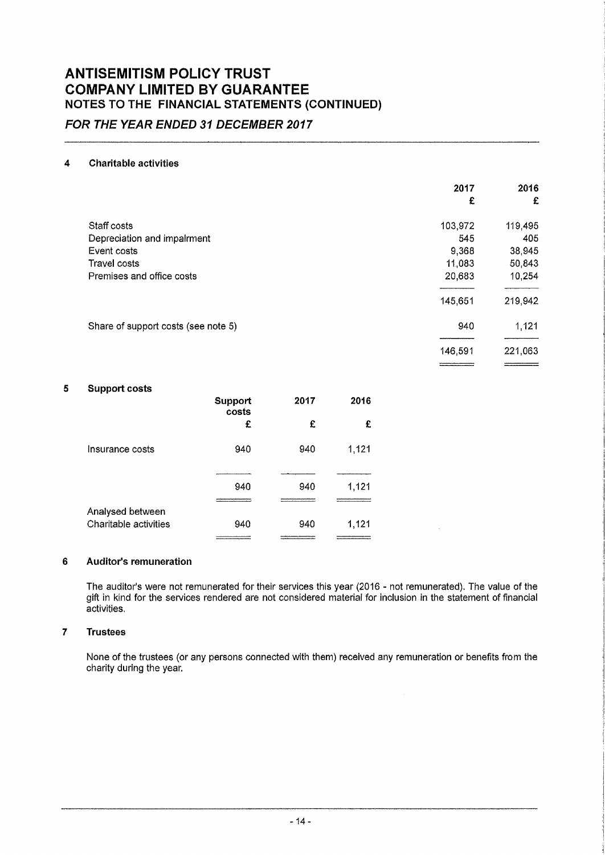# FOR THE YEAR ENDED 31 DECEMBER 2017

#### 4 Charitable activities

|                                     | 2017    | 2016    |
|-------------------------------------|---------|---------|
|                                     | £       | £       |
| Staff costs                         | 103,972 | 119,495 |
| Depreciation and impairment         | 545     | 405     |
| Event costs                         | 9,368   | 38,945  |
| Travel costs                        | 11,083  | 50,843  |
| Premises and office costs           | 20,683  | 10,254  |
|                                     | 145,651 | 219,942 |
| Share of support costs (see note 5) | 940     | 1,121   |
|                                     | 146,591 | 221,063 |

#### 5 Support costs

|                       | Support<br>costs | 2017 | 2016  |
|-----------------------|------------------|------|-------|
|                       | £                | £    | £     |
| Insurance costs       | 940              | 940  | 1,121 |
|                       |                  |      |       |
|                       | 940              | 940  | 1,121 |
| Analysed between      |                  |      |       |
| Charitable activities | 940              | 940  | 1,121 |

#### 6 Auditor's remuneration

The auditor's were not remunerated for their services this year (2016 - not remunerated). The value of the gift in kind for the services rendered are not considered material for inclusion in the statement of financial activities.

#### 7 Trustees

None of the trustees (or any persons connected with them) received any remuneration or benefits from the charity during the year.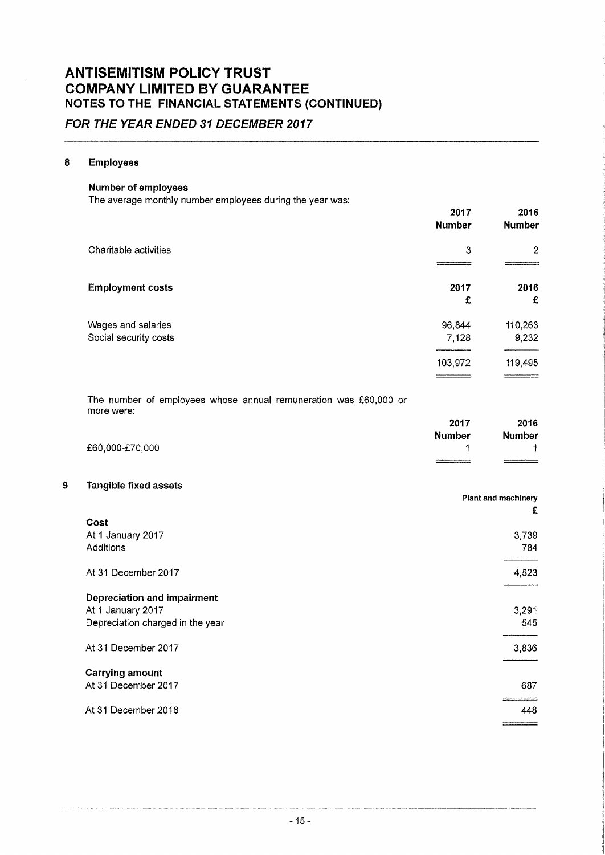# FOR 7HE YEAR ENDED 81 DECEMBER 201T

#### 8 Employees

#### Number of employees

The average monthly number employees during the year was:

|                         | 2017<br><b>Number</b> | 2016<br><b>Number</b> |
|-------------------------|-----------------------|-----------------------|
| Charitable activities   | 3                     | $\overline{2}$        |
|                         |                       |                       |
| <b>Employment costs</b> | 2017                  | 2016                  |
|                         | £                     | £                     |
| Wages and salaries      | 96,844                | 110,263               |
| Social security costs   | 7,128                 | 9,232                 |
|                         | 103,972               | 119,495               |
|                         |                       |                       |

The number of employees whose annual remuneration was £60,000 or more were:

|                 | 2017                                        | 2016                 |
|-----------------|---------------------------------------------|----------------------|
|                 | <b>Number</b>                               | <b>Number</b>        |
| £60,000-£70,000 |                                             | $\blacktriangleleft$ |
|                 | __________________________<br>------------- |                      |

#### 9 Tangible fixed assets

|                                  | <b>Plant and machinery</b> |
|----------------------------------|----------------------------|
|                                  | £                          |
| Cost                             |                            |
| At 1 January 2017                | 3,739                      |
| Additions                        | 784                        |
| At 31 December 2017              | 4,523                      |
| Depreciation and impairment      |                            |
| At 1 January 2017                | 3,291                      |
| Depreciation charged in the year | 545                        |
| At 31 December 2017              | 3,836                      |
| <b>Carrying amount</b>           |                            |
| At 31 December 2017              | 687                        |
| At 31 December 2016              | 448                        |
|                                  |                            |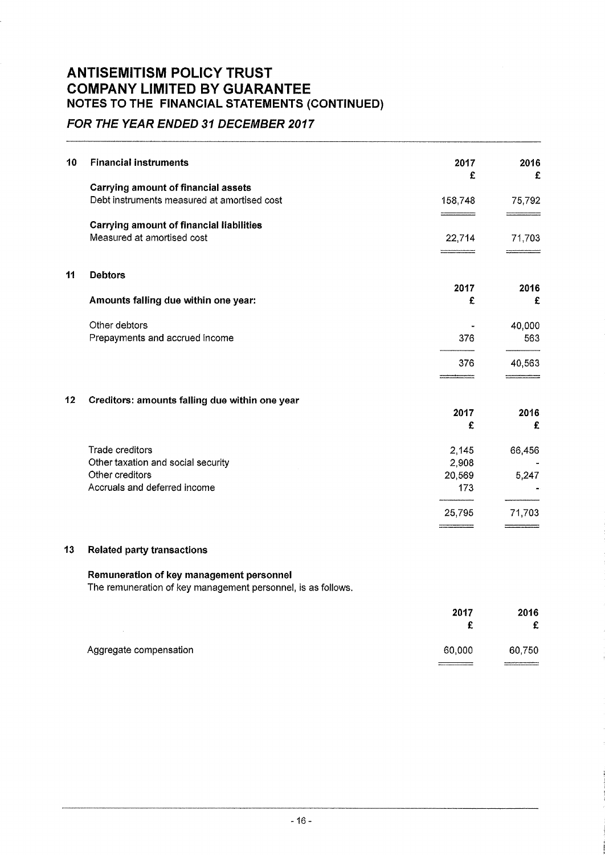# FOR THE YEAR ENDED 31 DECEMBER 2017

| 10 | <b>Financial instruments</b>                                 | 2017<br>£ | 2016<br>£ |
|----|--------------------------------------------------------------|-----------|-----------|
|    | <b>Carrying amount of financial assets</b>                   |           |           |
|    | Debt instruments measured at amortised cost                  | 158,748   | 75,792    |
|    | <b>Carrying amount of financial liabilities</b>              |           |           |
|    | Measured at amortised cost                                   | 22,714    | 71,703    |
|    |                                                              |           |           |
| 11 | <b>Debtors</b>                                               |           |           |
|    |                                                              | 2017      | 2016      |
|    | Amounts falling due within one year:                         | £         | £         |
|    | Other debtors                                                |           | 40,000    |
|    | Prepayments and accrued income                               | 376       | 563       |
|    |                                                              | 376       | 40,563    |
|    |                                                              |           |           |
| 12 | Creditors: amounts falling due within one year               |           |           |
|    |                                                              | 2017      | 2016      |
|    |                                                              | £         | £         |
|    | Trade creditors                                              | 2,145     | 66,456    |
|    | Other taxation and social security                           | 2,908     |           |
|    | Other creditors                                              | 20,569    | 5,247     |
|    | Accruals and deferred income                                 | 173       |           |
|    |                                                              | 25,795    | 71,703    |
|    |                                                              |           |           |
| 13 | <b>Related party transactions</b>                            |           |           |
|    | Remuneration of key management personnel                     |           |           |
|    | The remuneration of key management personnel, is as follows. |           |           |
|    |                                                              | 2017      | 2016      |

|                        | ------- | ----<br>£                  |
|------------------------|---------|----------------------------|
| Aggregate compensation | 60,000  | 60,750                     |
|                        |         | ________<br>______________ |